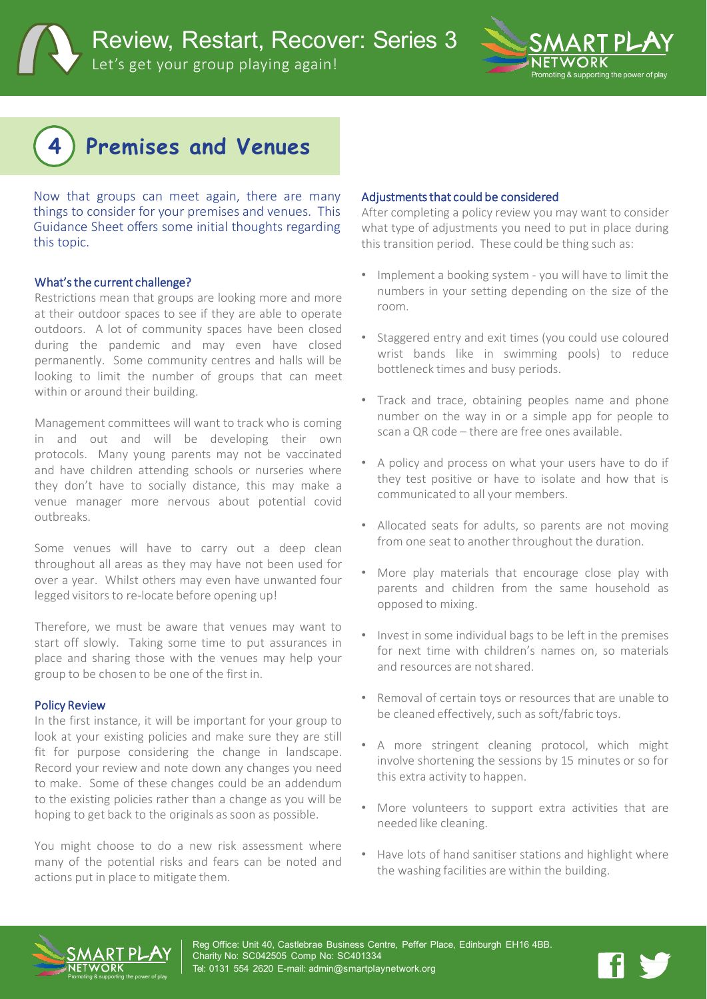a & supporting the power of play

# **4 Premises and Venues**

Now that groups can meet again, there are many things to consider for your premises and venues. This Guidance Sheet offers some initial thoughts regarding this topic.

#### What'sthe current challenge?

Restrictions mean that groups are looking more and more at their outdoor spaces to see if they are able to operate outdoors. A lot of community spaces have been closed during the pandemic and may even have closed permanently. Some community centres and halls will be looking to limit the number of groups that can meet within or around their building.

Management committees will want to track who is coming in and out and will be developing their own protocols. Many young parents may not be vaccinated and have children attending schools or nurseries where they don't have to socially distance, this may make a venue manager more nervous about potential covid outbreaks.

Some venues will have to carry out a deep clean throughout all areas as they may have not been used for over a year. Whilst others may even have unwanted four legged visitors to re-locate before opening up!

Therefore, we must be aware that venues may want to start off slowly. Taking some time to put assurances in place and sharing those with the venues may help your group to be chosen to be one of the first in.

#### Policy Review

In the first instance, it will be important for your group to look at your existing policies and make sure they are still fit for purpose considering the change in landscape. Record your review and note down any changes you need to make. Some of these changes could be an addendum to the existing policies rather than a change as you will be hoping to get back to the originals as soon as possible.

You might choose to do a new risk assessment where many of the potential risks and fears can be noted and actions put in place to mitigate them.

#### Adjustments that could be considered

After completing a policy review you may want to consider what type of adjustments you need to put in place during this transition period. These could be thing such as:

- Implement a booking system you will have to limit the numbers in your setting depending on the size of the room.
- Staggered entry and exit times (you could use coloured wrist bands like in swimming pools) to reduce bottleneck times and busy periods.
- Track and trace, obtaining peoples name and phone number on the way in or a simple app for people to scan a QR code – there are free ones available.
- A policy and process on what your users have to do if they test positive or have to isolate and how that is communicated to all your members.
- Allocated seats for adults, so parents are not moving from one seat to another throughout the duration.
- More play materials that encourage close play with parents and children from the same household as opposed to mixing.
- Invest in some individual bags to be left in the premises for next time with children's names on, so materials and resources are notshared.
- Removal of certain toys or resources that are unable to be cleaned effectively, such as soft/fabric toys.
- A more stringent cleaning protocol, which might involve shortening the sessions by 15 minutes or so for this extra activity to happen.
- More volunteers to support extra activities that are needed like cleaning.
- Have lots of hand sanitiser stations and highlight where the washing facilities are within the building.